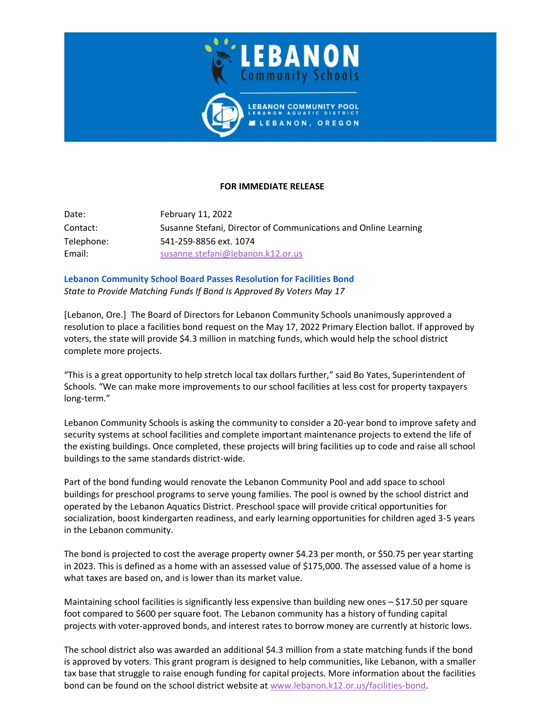

## **FOR IMMEDIATE RELEASE**

Date: February 11, 2022 Contact: Susanne Stefani, Director of Communications and Online Learning Telephone: 541-259-8856 ext. 1074 Email: [susanne.stefani@lebanon.k12.or.us](mailto:susanne.stefani@lebanon.k12.or.us)

**Lebanon Community School Board Passes Resolution for Facilities Bond** *State to Provide Matching Funds If Bond Is Approved By Voters May 17*

[Lebanon, Ore.] The Board of Directors for Lebanon Community Schools unanimously approved a resolution to place a facilities bond request on the May 17, 2022 Primary Election ballot. If approved by voters, the state will provide \$4.3 million in matching funds, which would help the school district complete more projects.

"This is a great opportunity to help stretch local tax dollars further," said Bo Yates, Superintendent of Schools. "We can make more improvements to our school facilities at less cost for property taxpayers long-term."

Lebanon Community Schools is asking the community to consider a 20-year bond to improve safety and security systems at school facilities and complete important maintenance projects to extend the life of the existing buildings. Once completed, these projects will bring facilities up to code and raise all school buildings to the same standards district-wide.

Part of the bond funding would renovate the Lebanon Community Pool and add space to school buildings for preschool programs to serve young families. The pool is owned by the school district and operated by the Lebanon Aquatics District. Preschool space will provide critical opportunities for socialization, boost kindergarten readiness, and early learning opportunities for children aged 3-5 years in the Lebanon community.

The bond is projected to cost the average property owner \$4.23 per month, or \$50.75 per year starting in 2023. This is defined as a home with an assessed value of \$175,000. The assessed value of a home is what taxes are based on, and is lower than its market value.

Maintaining school facilities is significantly less expensive than building new ones – \$17.50 per square foot compared to \$600 per square foot. The Lebanon community has a history of funding capital projects with voter-approved bonds, and interest rates to borrow money are currently at historic lows.

The school district also was awarded an additional \$4.3 million from a state matching funds if the bond is approved by voters. This grant program is designed to help communities, like Lebanon, with a smaller tax base that struggle to raise enough funding for capital projects. More information about the facilities bond can be found on the school district website at [www.lebanon.k12.or.us/facilities-bond.](http://www.lebanon.k12.or.us/facilities-bond/)